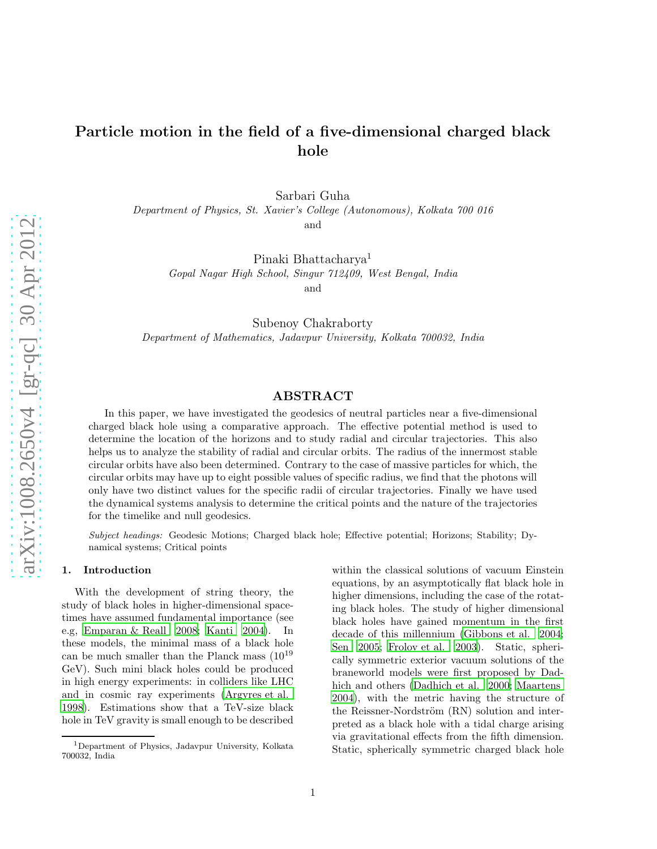# Particle motion in the field of a five-dimensional charged black hole

Sarbari Guha

*Department of Physics, St. Xavier's College (Autonomous), Kolkata 700 016*

and

Pinaki Bhattacharya<sup>1</sup>

*Gopal Nagar High School, Singur 712409, West Bengal, India* and

Subenoy Chakraborty *Department of Mathematics, Jadavpur University, Kolkata 700032, India*

# ABSTRACT

In this paper, we have investigated the geodesics of neutral particles near a five-dimensional charged black hole using a comparative approach. The effective potential method is used to determine the location of the horizons and to study radial and circular trajectories. This also helps us to analyze the stability of radial and circular orbits. The radius of the innermost stable circular orbits have also been determined. Contrary to the case of massive particles for which, the circular orbits may have up to eight possible values of specific radius, we find that the photons will only have two distinct values for the specific radii of circular trajectories. Finally we have used the dynamical systems analysis to determine the critical points and the nature of the trajectories for the timelike and null geodesics.

Subject headings: Geodesic Motions; Charged black hole; Effective potential; Horizons; Stability; Dynamical systems; Critical points

# 1. Introduction

With the development of string theory, the study of black holes in higher-dimensional spacetimes have assumed fundamental importance (see e.g, [Emparan & Reall 2008;](#page-9-0) [Kanti 2004](#page-9-1)). In these models, the minimal mass of a black hole can be much smaller than the Planck mass  $(10^{19}$ GeV). Such mini black holes could be produced in high energy experiments: in colliders like LHC and in cosmic ray experiments [\(Argyres et al.](#page-9-2) [1998\)](#page-9-2). Estimations show that a TeV-size black hole in TeV gravity is small enough to be described within the classical solutions of vacuum Einstein equations, by an asymptotically flat black hole in higher dimensions, including the case of the rotating black holes. The study of higher dimensional black holes have gained momentum in the first decade of this millennium [\(Gibbons et al. 2004;](#page-9-3) [Sen 2005;](#page-9-4) [Frolov et al. 2003\)](#page-9-5). Static, spherically symmetric exterior vacuum solutions of the braneworld models were first proposed by Dadhich and others [\(Dadhich et al. 2000;](#page-9-6) [Maartens](#page-9-7) [2004\)](#page-9-7), with the metric having the structure of the Reissner-Nordström (RN) solution and interpreted as a black hole with a tidal charge arising via gravitational effects from the fifth dimension. Static, spherically symmetric charged black hole

<sup>1</sup>Department of Physics, Jadavpur University, Kolkata 700032, India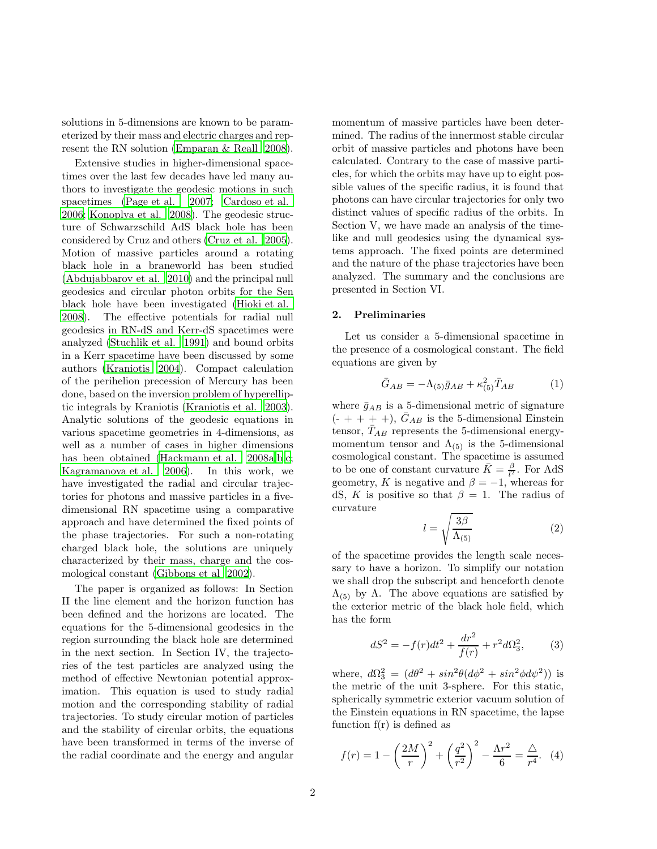solutions in 5-dimensions are known to be parameterized by their mass and electric charges and represent the RN solution [\(Emparan & Reall 2008\)](#page-9-0).

Extensive studies in higher-dimensional spacetimes over the last few decades have led many authors to investigate the geodesic motions in such spacetimes [\(Page et al. 2007;](#page-9-8) [Cardoso et al.](#page-9-9) [2006;](#page-9-9) [Konoplya et al. 2008](#page-9-10)). The geodesic structure of Schwarzschild AdS black hole has been considered by Cruz and others [\(Cruz et al. 2005\)](#page-9-11). Motion of massive particles around a rotating black hole in a braneworld has been studied [\(Abdujabbarov et al. 2010\)](#page-9-12) and the principal null geodesics and circular photon orbits for the Sen black hole have been investigated [\(Hioki et al.](#page-9-13) [2008\)](#page-9-13). The effective potentials for radial null geodesics in RN-dS and Kerr-dS spacetimes were analyzed [\(Stuchlik et al. 1991\)](#page-9-14) and bound orbits in a Kerr spacetime have been discussed by some authors [\(Kraniotis 2004\)](#page-9-15). Compact calculation of the perihelion precession of Mercury has been done, based on the inversion problem of hyperelliptic integrals by Kraniotis [\(Kraniotis et al. 2003\)](#page-9-16). Analytic solutions of the geodesic equations in various spacetime geometries in 4-dimensions, as well as a number of cases in higher dimensions has been obtained [\(Hackmann et al. 2008a](#page-9-17)[,b](#page-9-18)[,c;](#page-9-19) [Kagramanova et al. 2006\)](#page-9-20). In this work, we have investigated the radial and circular trajectories for photons and massive particles in a fivedimensional RN spacetime using a comparative approach and have determined the fixed points of the phase trajectories. For such a non-rotating charged black hole, the solutions are uniquely characterized by their mass, charge and the cosmological constant [\(Gibbons et al 2002\)](#page-9-21).

The paper is organized as follows: In Section II the line element and the horizon function has been defined and the horizons are located. The equations for the 5-dimensional geodesics in the region surrounding the black hole are determined in the next section. In Section IV, the trajectories of the test particles are analyzed using the method of effective Newtonian potential approximation. This equation is used to study radial motion and the corresponding stability of radial trajectories. To study circular motion of particles and the stability of circular orbits, the equations have been transformed in terms of the inverse of the radial coordinate and the energy and angular

momentum of massive particles have been determined. The radius of the innermost stable circular orbit of massive particles and photons have been calculated. Contrary to the case of massive particles, for which the orbits may have up to eight possible values of the specific radius, it is found that photons can have circular trajectories for only two distinct values of specific radius of the orbits. In Section V, we have made an analysis of the timelike and null geodesics using the dynamical systems approach. The fixed points are determined and the nature of the phase trajectories have been analyzed. The summary and the conclusions are presented in Section VI.

## 2. Preliminaries

Let us consider a 5-dimensional spacetime in the presence of a cosmological constant. The field equations are given by

$$
\bar{G}_{AB} = -\Lambda_{(5)}\bar{g}_{AB} + \kappa_{(5)}^2 \bar{T}_{AB} \tag{1}
$$

where  $\bar{g}_{AB}$  is a 5-dimensional metric of signature  $(- + + + +)$ ,  $G_{AB}$  is the 5-dimensional Einstein tensor,  $\bar{T}_{AB}$  represents the 5-dimensional energymomentum tensor and  $\Lambda_{(5)}$  is the 5-dimensional cosmological constant. The spacetime is assumed to be one of constant curvature  $\bar{K} = \frac{\beta}{l^2}$ . For AdS geometry, K is negative and  $\beta = -1$ , whereas for dS, K is positive so that  $\beta = 1$ . The radius of curvature

$$
l = \sqrt{\frac{3\beta}{\Lambda_{(5)}}}
$$
 (2)

of the spacetime provides the length scale necessary to have a horizon. To simplify our notation we shall drop the subscript and henceforth denote  $\Lambda$ <sub>(5)</sub> by  $\Lambda$ . The above equations are satisfied by the exterior metric of the black hole field, which has the form

$$
dS^{2} = -f(r)dt^{2} + \frac{dr^{2}}{f(r)} + r^{2}d\Omega_{3}^{2},
$$
 (3)

where,  $d\Omega_3^2 = (d\theta^2 + sin^2\theta (d\phi^2 + sin^2\phi d\psi^2))$  is the metric of the unit 3-sphere. For this static, spherically symmetric exterior vacuum solution of the Einstein equations in RN spacetime, the lapse function  $f(r)$  is defined as

<span id="page-1-0"></span>
$$
f(r) = 1 - \left(\frac{2M}{r}\right)^2 + \left(\frac{q^2}{r^2}\right)^2 - \frac{\Lambda r^2}{6} = \frac{\Delta}{r^4}.
$$
 (4)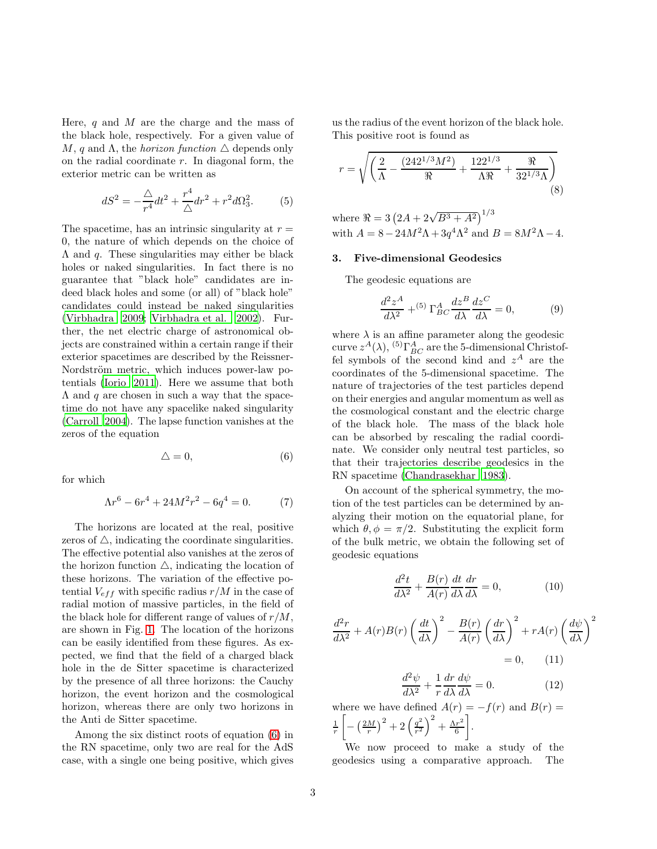Here,  $q$  and  $M$  are the charge and the mass of the black hole, respectively. For a given value of M, q and  $\Lambda$ , the *horizon function*  $\Delta$  depends only on the radial coordinate  $r$ . In diagonal form, the exterior metric can be written as

$$
dS^{2} = -\frac{\triangle}{r^{4}}dt^{2} + \frac{r^{4}}{\triangle}dr^{2} + r^{2}d\Omega_{3}^{2}.
$$
 (5)

The spacetime, has an intrinsic singularity at  $r =$ 0, the nature of which depends on the choice of  $\Lambda$  and  $q$ . These singularities may either be black holes or naked singularities. In fact there is no guarantee that "black hole" candidates are indeed black holes and some (or all) of "black hole" candidates could instead be naked singularities [\(Virbhadra 2009;](#page-9-22) [Virbhadra et al. 2002](#page-9-23)). Further, the net electric charge of astronomical objects are constrained within a certain range if their exterior spacetimes are described by the Reissner-Nordström metric, which induces power-law potentials [\(Iorio 2011\)](#page-10-0). Here we assume that both  $\Lambda$  and q are chosen in such a way that the spacetime do not have any spacelike naked singularity [\(Carroll 2004\)](#page-10-1). The lapse function vanishes at the zeros of the equation

<span id="page-2-0"></span>
$$
\triangle = 0,\tag{6}
$$

for which

$$
\Lambda r^6 - 6r^4 + 24M^2r^2 - 6q^4 = 0. \tag{7}
$$

The horizons are located at the real, positive zeros of  $\triangle$ , indicating the coordinate singularities. The effective potential also vanishes at the zeros of the horizon function  $\triangle$ , indicating the location of these horizons. The variation of the effective potential  $V_{eff}$  with specific radius  $r/M$  in the case of radial motion of massive particles, in the field of the black hole for different range of values of  $r/M$ , are shown in Fig. [1.](#page-10-2) The location of the horizons can be easily identified from these figures. As expected, we find that the field of a charged black hole in the de Sitter spacetime is characterized by the presence of all three horizons: the Cauchy horizon, the event horizon and the cosmological horizon, whereas there are only two horizons in the Anti de Sitter spacetime.

Among the six distinct roots of equation [\(6\)](#page-2-0) in the RN spacetime, only two are real for the AdS case, with a single one being positive, which gives us the radius of the event horizon of the black hole. This positive root is found as

$$
r = \sqrt{\left(\frac{2}{\Lambda} - \frac{(242^{1/3}M^2)}{\Re} + \frac{122^{1/3}}{\Lambda \Re} + \frac{\Re}{32^{1/3}\Lambda}\right)}
$$
(8)

where  $\Re = 3 (2A + 2\sqrt{B^3 + A^2})^{1/3}$ with  $A = 8 - 24M^2\Lambda + 3q^4\Lambda^2$  and  $B = 8M^2\Lambda - 4$ .

## 3. Five-dimensional Geodesics

The geodesic equations are

$$
\frac{d^2z^A}{d\lambda^2} + ^{(5)}\Gamma^A_{BC}\frac{dz^B}{d\lambda}\frac{dz^C}{d\lambda} = 0,
$$
 (9)

where  $\lambda$  is an affine parameter along the geodesic curve  $z^A(\lambda)$ , <sup>(5)</sup> $\Gamma^A_{BC}$  are the 5-dimensional Christoffel symbols of the second kind and  $z^A$  are the coordinates of the 5-dimensional spacetime. The nature of trajectories of the test particles depend on their energies and angular momentum as well as the cosmological constant and the electric charge of the black hole. The mass of the black hole can be absorbed by rescaling the radial coordinate. We consider only neutral test particles, so that their trajectories describe geodesics in the RN spacetime [\(Chandrasekhar 1983\)](#page-10-3).

On account of the spherical symmetry, the motion of the test particles can be determined by analyzing their motion on the equatorial plane, for which  $\theta$ ,  $\phi = \pi/2$ . Substituting the explicit form of the bulk metric, we obtain the following set of geodesic equations

<span id="page-2-1"></span>
$$
\frac{d^2t}{d\lambda^2} + \frac{B(r)}{A(r)}\frac{dt}{d\lambda}\frac{dr}{d\lambda} = 0,
$$
\n(10)

$$
\frac{d^2r}{d\lambda^2} + A(r)B(r)\left(\frac{dt}{d\lambda}\right)^2 - \frac{B(r)}{A(r)}\left(\frac{dr}{d\lambda}\right)^2 + rA(r)\left(\frac{d\psi}{d\lambda}\right)^2
$$

$$
= 0, \qquad (11)
$$

<span id="page-2-2"></span>
$$
\frac{d^2\psi}{d\lambda^2} + \frac{1}{r}\frac{dr}{d\lambda}\frac{d\psi}{d\lambda} = 0.
$$
 (12)

where we have defined  $A(r) = -f(r)$  and  $B(r) =$  $\frac{1}{r}$ ſ  $-\left(\frac{2M}{r}\right)^2+2\left(\frac{q^2}{r^2}\right)$  $\frac{q^{2}}{r^{2}}\Big)^{2}+\frac{\Lambda r^{2}}{6}$ 6 .

We now proceed to make a study of the geodesics using a comparative approach. The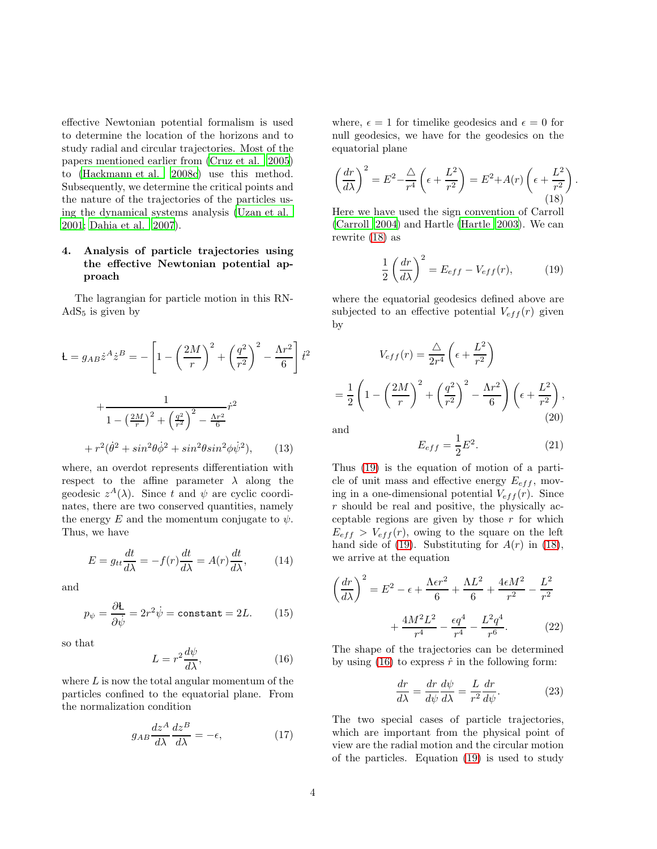effective Newtonian potential formalism is used to determine the location of the horizons and to study radial and circular trajectories. Most of the papers mentioned earlier from [\(Cruz et al. 2005\)](#page-9-11) to [\(Hackmann et al. 2008c](#page-9-19)) use this method. Subsequently, we determine the critical points and the nature of the trajectories of the particles using the dynamical systems analysis [\(Uzan et al.](#page-10-4) [2001;](#page-10-4) [Dahia et al. 2007\)](#page-10-5).

# 4. Analysis of particle trajectories using the effective Newtonian potential approach

The lagrangian for particle motion in this RN- $AdS<sub>5</sub>$  is given by

$$
\mathbf{L} = g_{AB} \dot{z}^A \dot{z}^B = -\left[1 - \left(\frac{2M}{r}\right)^2 + \left(\frac{q^2}{r^2}\right)^2 - \frac{\Lambda r^2}{6}\right] \dot{t}^2
$$

$$
+ \frac{1}{1 - \left(\frac{2M}{r}\right)^2 + \left(\frac{q^2}{r^2}\right)^2 - \frac{\Lambda r^2}{6}}
$$

$$
+ r^2 (\dot{\theta}^2 + \sin^2 \theta \dot{\phi}^2 + \sin^2 \theta \sin^2 \phi \dot{\psi}^2), \qquad (13)
$$

where, an overdot represents differentiation with respect to the affine parameter  $\lambda$  along the geodesic  $z^A(\lambda)$ . Since t and  $\psi$  are cyclic coordinates, there are two conserved quantities, namely the energy E and the momentum conjugate to  $\psi$ . Thus, we have

<span id="page-3-4"></span>
$$
E = g_{tt} \frac{dt}{d\lambda} = -f(r) \frac{dt}{d\lambda} = A(r) \frac{dt}{d\lambda}, \qquad (14)
$$

and

$$
p_{\psi} = \frac{\partial \mathbf{L}}{\partial \dot{\psi}} = 2r^2 \dot{\psi} = \text{constant} = 2L. \tag{15}
$$

so that

<span id="page-3-2"></span>
$$
L = r^2 \frac{d\psi}{d\lambda},\tag{16}
$$

where  $L$  is now the total angular momentum of the particles confined to the equatorial plane. From the normalization condition

$$
g_{AB}\frac{dz^A}{d\lambda}\frac{dz^B}{d\lambda} = -\epsilon,\tag{17}
$$

where,  $\epsilon = 1$  for timelike geodesics and  $\epsilon = 0$  for null geodesics, we have for the geodesics on the equatorial plane

<span id="page-3-0"></span>
$$
\left(\frac{dr}{d\lambda}\right)^2 = E^2 - \frac{\Delta}{r^4} \left(\epsilon + \frac{L^2}{r^2}\right) = E^2 + A(r) \left(\epsilon + \frac{L^2}{r^2}\right).
$$
\n(18)

Here we have used the sign convention of Carroll [\(Carroll 2004\)](#page-10-1) and Hartle [\(Hartle 2003](#page-10-6)). We can rewrite [\(18\)](#page-3-0) as

<span id="page-3-1"></span>
$$
\frac{1}{2} \left( \frac{dr}{d\lambda} \right)^2 = E_{eff} - V_{eff}(r), \tag{19}
$$

where the equatorial geodesics defined above are subjected to an effective potential  $V_{eff}(r)$  given by

$$
V_{eff}(r) = \frac{\Delta}{2r^4} \left(\epsilon + \frac{L^2}{r^2}\right)
$$

$$
= \frac{1}{2} \left(1 - \left(\frac{2M}{r}\right)^2 + \left(\frac{q^2}{r^2}\right)^2 - \frac{\Lambda r^2}{6}\right) \left(\epsilon + \frac{L^2}{r^2}\right),
$$
(20)

and

$$
E_{eff} = \frac{1}{2}E^2.
$$
\n<sup>(21)</sup>

Thus [\(19\)](#page-3-1) is the equation of motion of a particle of unit mass and effective energy  $E_{eff}$ , moving in a one-dimensional potential  $V_{eff}(r)$ . Since  $r$  should be real and positive, the physically acceptable regions are given by those  $r$  for which  $E_{eff} > V_{eff}(r)$ , owing to the square on the left hand side of [\(19\)](#page-3-1). Substituting for  $A(r)$  in [\(18\)](#page-3-0), we arrive at the equation

$$
\left(\frac{dr}{d\lambda}\right)^2 = E^2 - \epsilon + \frac{\Lambda \epsilon r^2}{6} + \frac{\Lambda L^2}{6} + \frac{4\epsilon M^2}{r^2} - \frac{L^2}{r^2} + \frac{4M^2L^2}{r^4} - \frac{\epsilon q^4}{r^4} - \frac{L^2q^4}{r^6}.
$$
 (22)

The shape of the trajectories can be determined by using  $(16)$  to express  $\dot{r}$  in the following form:

<span id="page-3-3"></span>
$$
\frac{dr}{d\lambda} = \frac{dr}{d\psi}\frac{d\psi}{d\lambda} = \frac{L}{r^2}\frac{dr}{d\psi}.
$$
 (23)

The two special cases of particle trajectories, which are important from the physical point of view are the radial motion and the circular motion of the particles. Equation [\(19\)](#page-3-1) is used to study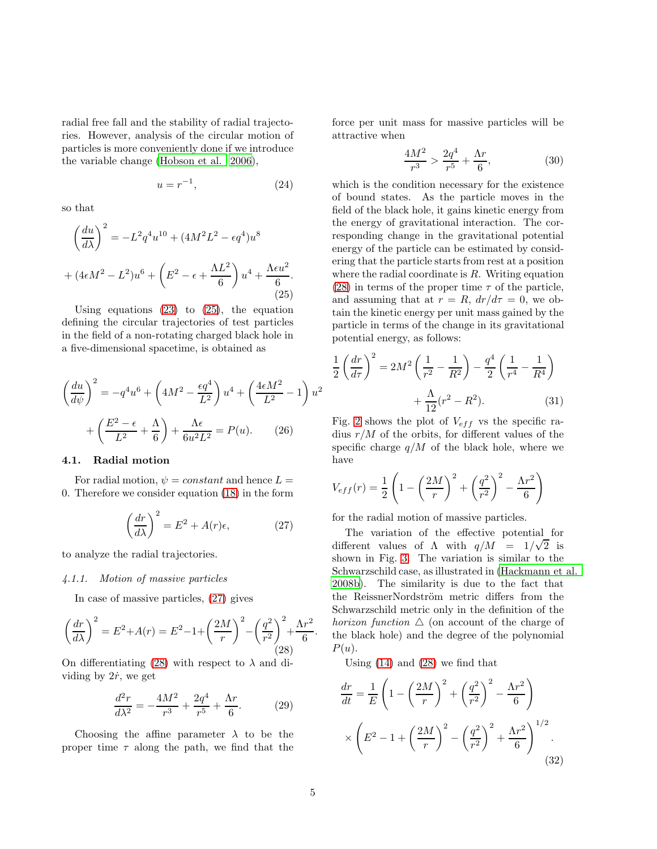radial free fall and the stability of radial trajectories. However, analysis of the circular motion of particles is more conveniently done if we introduce the variable change [\(Hobson et al. 2006\)](#page-10-7),

$$
u = r^{-1},\tag{24}
$$

.

so that

$$
\left(\frac{du}{d\lambda}\right)^2 = -L^2 q^4 u^{10} + (4M^2 L^2 - \epsilon q^4) u^8
$$

$$
+ (4\epsilon M^2 - L^2) u^6 + \left(E^2 - \epsilon + \frac{\Lambda L^2}{6}\right) u^4 + \frac{\Lambda \epsilon u^2}{6}.
$$
(25)

<span id="page-4-0"></span>Using equations  $(23)$  to  $(25)$ , the equation defining the circular trajectories of test particles in the field of a non-rotating charged black hole in a five-dimensional spacetime, is obtained as

$$
\left(\frac{du}{d\psi}\right)^2 = -q^4u^6 + \left(4M^2 - \frac{\epsilon q^4}{L^2}\right)u^4 + \left(\frac{4\epsilon M^2}{L^2} - 1\right)u^2
$$

$$
+ \left(\frac{E^2 - \epsilon}{L^2} + \frac{\Lambda}{6}\right) + \frac{\Lambda \epsilon}{6u^2L^2} = P(u). \tag{26}
$$

# <span id="page-4-3"></span>4.1. Radial motion

For radial motion,  $\psi = constant$  and hence  $L =$ 0. Therefore we consider equation [\(18\)](#page-3-0) in the form

<span id="page-4-1"></span>
$$
\left(\frac{dr}{d\lambda}\right)^2 = E^2 + A(r)\epsilon,\tag{27}
$$

to analyze the radial trajectories.

#### *4.1.1. Motion of massive particles*

In case of massive particles, [\(27\)](#page-4-1) gives

<span id="page-4-2"></span>
$$
\left(\frac{dr}{d\lambda}\right)^2 = E^2 + A(r) = E^2 - 1 + \left(\frac{2M}{r}\right)^2 - \left(\frac{q^2}{r^2}\right)^2 + \frac{\Lambda r^2}{6}.
$$
\n(28)

On differentiating [\(28\)](#page-4-2) with respect to  $\lambda$  and dividing by  $2\dot{r}$ , we get

$$
\frac{d^2r}{d\lambda^2} = -\frac{4M^2}{r^3} + \frac{2q^4}{r^5} + \frac{\Lambda r}{6}.
$$
 (29)

Choosing the affine parameter  $\lambda$  to be the proper time  $\tau$  along the path, we find that the force per unit mass for massive particles will be attractive when

$$
\frac{4M^2}{r^3} > \frac{2q^4}{r^5} + \frac{\Lambda r}{6},\tag{30}
$$

which is the condition necessary for the existence of bound states. As the particle moves in the field of the black hole, it gains kinetic energy from the energy of gravitational interaction. The corresponding change in the gravitational potential energy of the particle can be estimated by considering that the particle starts from rest at a position where the radial coordinate is  $R$ . Writing equation [\(28\)](#page-4-2) in terms of the proper time  $\tau$  of the particle, and assuming that at  $r = R$ ,  $dr/d\tau = 0$ , we obtain the kinetic energy per unit mass gained by the particle in terms of the change in its gravitational potential energy, as follows:

$$
\frac{1}{2}\left(\frac{dr}{d\tau}\right)^2 = 2M^2\left(\frac{1}{r^2} - \frac{1}{R^2}\right) - \frac{q^4}{2}\left(\frac{1}{r^4} - \frac{1}{R^4}\right) + \frac{\Lambda}{12}(r^2 - R^2).
$$
 (31)

Fig. [2](#page-11-0) shows the plot of  $V_{eff}$  vs the specific radius  $r/M$  of the orbits, for different values of the specific charge  $q/M$  of the black hole, where we have

$$
V_{eff}(r) = \frac{1}{2} \left( 1 - \left(\frac{2M}{r}\right)^2 + \left(\frac{q^2}{r^2}\right)^2 - \frac{\Lambda r^2}{6} \right)
$$

for the radial motion of massive particles.

The variation of the effective potential for different values of  $\Lambda$  with  $q/M = 1/\sqrt{2}$  is shown in Fig. [3.](#page-11-1) The variation is similar to the Schwarzschild case, as illustrated in [\(Hackmann et al.](#page-9-18) [2008b](#page-9-18)). The similarity is due to the fact that the ReissnerNordström metric differs from the Schwarzschild metric only in the definition of the *horizon function*  $\triangle$  (on account of the charge of the black hole) and the degree of the polynomial  $P(u)$ .

Using [\(14\)](#page-3-4) and [\(28\)](#page-4-2) we find that

$$
\frac{dr}{dt} = \frac{1}{E} \left( 1 - \left(\frac{2M}{r}\right)^2 + \left(\frac{q^2}{r^2}\right)^2 - \frac{\Lambda r^2}{6} \right) \times \left( E^2 - 1 + \left(\frac{2M}{r}\right)^2 - \left(\frac{q^2}{r^2}\right)^2 + \frac{\Lambda r^2}{6} \right)^{1/2} . \tag{32}
$$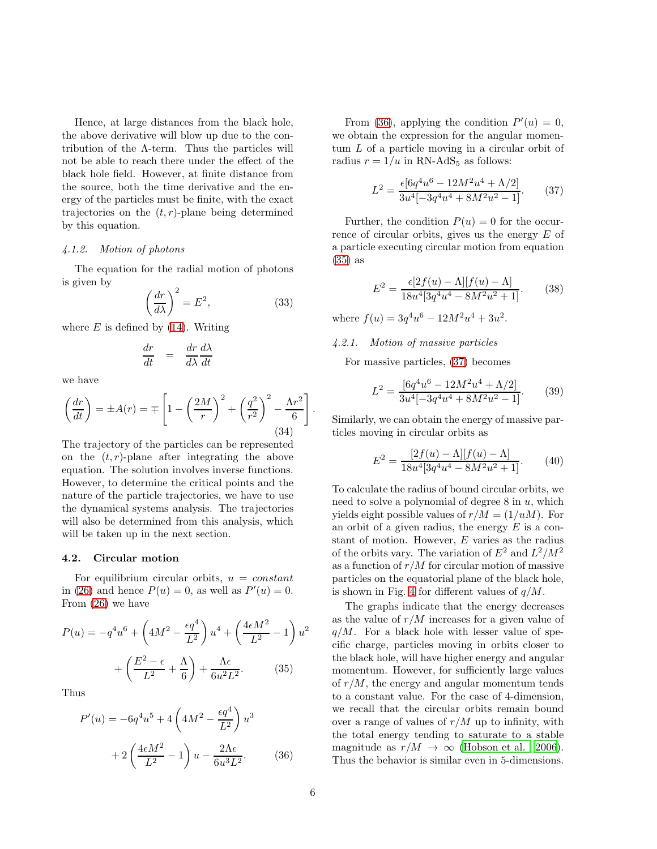Hence, at large distances from the black hole, the above derivative will blow up due to the contribution of the  $\Lambda$ -term. Thus the particles will not be able to reach there under the effect of the black hole field. However, at finite distance from the source, both the time derivative and the energy of the particles must be finite, with the exact trajectories on the  $(t, r)$ -plane being determined by this equation.

# *4.1.2. Motion of photons*

The equation for the radial motion of photons is given by

$$
\left(\frac{dr}{d\lambda}\right)^2 = E^2,\tag{33}
$$

where  $E$  is defined by  $(14)$ . Writing

$$
\frac{dr}{dt} = \frac{dr}{d\lambda} \frac{d\lambda}{dt}
$$

we have

$$
\left(\frac{dr}{dt}\right) = \pm A(r) = \mp \left[1 - \left(\frac{2M}{r}\right)^2 + \left(\frac{q^2}{r^2}\right)^2 - \frac{\Lambda r^2}{6}\right].
$$
\n(34)

The trajectory of the particles can be represented on the  $(t, r)$ -plane after integrating the above equation. The solution involves inverse functions. However, to determine the critical points and the nature of the particle trajectories, we have to use the dynamical systems analysis. The trajectories will also be determined from this analysis, which will be taken up in the next section.

#### 4.2. Circular motion

For equilibrium circular orbits,  $u = constant$ in [\(26\)](#page-4-3) and hence  $P(u) = 0$ , as well as  $P'(u) = 0$ . From [\(26\)](#page-4-3) we have

$$
P(u) = -q^4u^6 + \left(4M^2 - \frac{\epsilon q^4}{L^2}\right)u^4 + \left(\frac{4\epsilon M^2}{L^2} - 1\right)u^2
$$

$$
+ \left(\frac{E^2 - \epsilon}{L^2} + \frac{\Lambda}{6}\right) + \frac{\Lambda \epsilon}{6u^2L^2}.
$$
(35)

Thus

<span id="page-5-1"></span><span id="page-5-0"></span>
$$
P'(u) = -6q^4u^5 + 4\left(4M^2 - \frac{\epsilon q^4}{L^2}\right)u^3 + 2\left(\frac{4\epsilon M^2}{L^2} - 1\right)u - \frac{2\Lambda\epsilon}{6u^3L^2}.
$$
 (36)

From [\(36\)](#page-5-0), applying the condition  $P'(u) = 0$ , we obtain the expression for the angular momentum L of a particle moving in a circular orbit of radius  $r = 1/u$  in RN-AdS<sub>5</sub> as follows:

<span id="page-5-2"></span>
$$
L^{2} = \frac{\epsilon [6q^{4}u^{6} - 12M^{2}u^{4} + \Lambda/2]}{3u^{4}[-3q^{4}u^{4} + 8M^{2}u^{2} - 1]}.
$$
 (37)

Further, the condition  $P(u) = 0$  for the occurrence of circular orbits, gives us the energy E of a particle executing circular motion from equation [\(35\)](#page-5-1) as

<span id="page-5-3"></span>
$$
E^{2} = \frac{\epsilon[2f(u) - \Lambda][f(u) - \Lambda]}{18u^{4}[3q^{4}u^{4} - 8M^{2}u^{2} + 1]}.
$$
 (38)

where  $f(u) = 3q^4u^6 - 12M^2u^4 + 3u^2$ .

# *4.2.1. Motion of massive particles*

For massive particles, [\(37\)](#page-5-2) becomes

$$
L^{2} = \frac{\left[6q^{4}u^{6} - 12M^{2}u^{4} + \Lambda/2\right]}{3u^{4}\left[-3q^{4}u^{4} + 8M^{2}u^{2} - 1\right]}.\tag{39}
$$

Similarly, we can obtain the energy of massive particles moving in circular orbits as

$$
E^{2} = \frac{[2f(u) - \Lambda][f(u) - \Lambda]}{18u^{4}[3q^{4}u^{4} - 8M^{2}u^{2} + 1]}.
$$
 (40)

To calculate the radius of bound circular orbits, we need to solve a polynomial of degree  $8$  in  $u$ , which yields eight possible values of  $r/M = (1/u)$ . For an orbit of a given radius, the energy  $E$  is a constant of motion. However, E varies as the radius of the orbits vary. The variation of  $E^2$  and  $L^2/M^2$ as a function of  $r/M$  for circular motion of massive particles on the equatorial plane of the black hole, is shown in Fig. [4](#page-12-0) for different values of  $q/M$ .

The graphs indicate that the energy decreases as the value of  $r/M$  increases for a given value of  $q/M$ . For a black hole with lesser value of specific charge, particles moving in orbits closer to the black hole, will have higher energy and angular momentum. However, for sufficiently large values of  $r/M$ , the energy and angular momentum tends to a constant value. For the case of 4-dimension, we recall that the circular orbits remain bound over a range of values of  $r/M$  up to infinity, with the total energy tending to saturate to a stable magnitude as  $r/M \rightarrow \infty$  [\(Hobson et al. 2006\)](#page-10-7). Thus the behavior is similar even in 5-dimensions.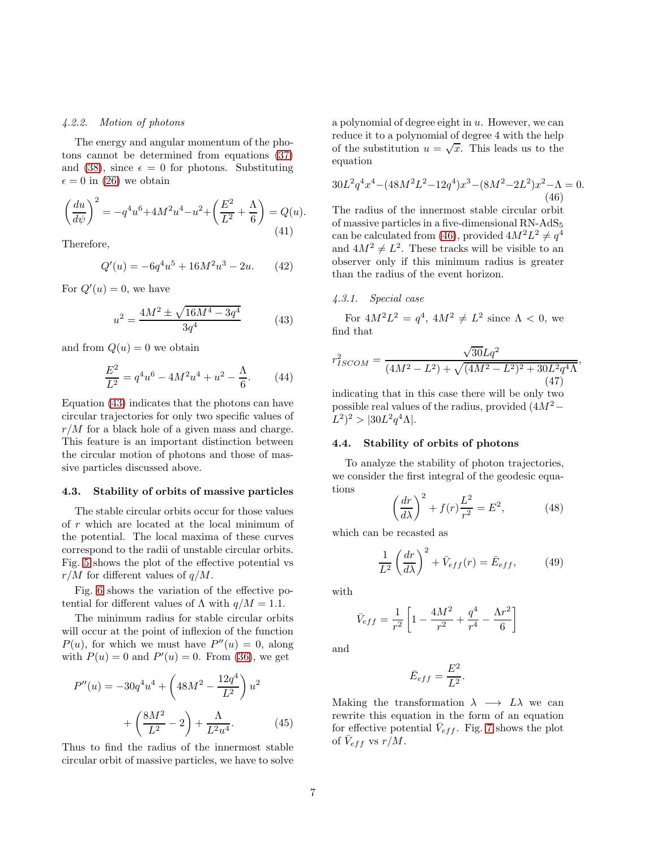## *4.2.2. Motion of photons*

The energy and angular momentum of the photons cannot be determined from equations [\(37\)](#page-5-2) and [\(38\)](#page-5-3), since  $\epsilon = 0$  for photons. Substituting  $\epsilon = 0$  in [\(26\)](#page-4-3) we obtain

$$
\left(\frac{du}{d\psi}\right)^2 = -q^4u^6 + 4M^2u^4 - u^2 + \left(\frac{E^2}{L^2} + \frac{\Lambda}{6}\right) = Q(u).
$$
\n(41)

Therefore,

$$
Q'(u) = -6q^4u^5 + 16M^2u^3 - 2u.
$$
 (42)

For  $Q'(u) = 0$ , we have

<span id="page-6-0"></span>
$$
u^{2} = \frac{4M^{2} \pm \sqrt{16M^{4} - 3q^{4}}}{3q^{4}}
$$
 (43)

and from  $Q(u) = 0$  we obtain

$$
\frac{E^2}{L^2} = q^4 u^6 - 4M^2 u^4 + u^2 - \frac{\Lambda}{6}.
$$
 (44)

Equation [\(43\)](#page-6-0) indicates that the photons can have circular trajectories for only two specific values of  $r/M$  for a black hole of a given mass and charge. This feature is an important distinction between the circular motion of photons and those of massive particles discussed above.

#### 4.3. Stability of orbits of massive particles

The stable circular orbits occur for those values of r which are located at the local minimum of the potential. The local maxima of these curves correspond to the radii of unstable circular orbits. Fig. [5](#page-12-1) shows the plot of the effective potential vs  $r/M$  for different values of  $q/M$ .

Fig. [6](#page-13-0) shows the variation of the effective potential for different values of  $\Lambda$  with  $q/M = 1.1$ .

The minimum radius for stable circular orbits will occur at the point of inflexion of the function  $P(u)$ , for which we must have  $P''(u) = 0$ , along with  $P(u) = 0$  and  $P'(u) = 0$ . From [\(36\)](#page-5-0), we get

$$
P''(u) = -30q^4u^4 + \left(48M^2 - \frac{12q^4}{L^2}\right)u^2 + \left(\frac{8M^2}{L^2} - 2\right) + \frac{\Lambda}{L^2u^4}.
$$
 (45)

Thus to find the radius of the innermost stable circular orbit of massive particles, we have to solve a polynomial of degree eight in  $u$ . However, we can reduce it to a polynomial of degree 4 with the help of the substitution  $u = \sqrt{x}$ . This leads us to the equation

<span id="page-6-1"></span>
$$
30L^2q^4x^4 - (48M^2L^2 - 12q^4)x^3 - (8M^2 - 2L^2)x^2 - \Lambda = 0.
$$
\n(46)

The radius of the innermost stable circular orbit of massive particles in a five-dimensional RN-AdS<sup>5</sup> can be calculated from [\(46\)](#page-6-1), provided  $4M^2L^2 \neq q^4$ and  $4M^2 \neq L^2$ . These tracks will be visible to an observer only if this minimum radius is greater than the radius of the event horizon.

# *4.3.1. Special case*

For  $4M^2L^2 = q^4$ ,  $4M^2 \neq L^2$  since  $\Lambda < 0$ , we find that

$$
r_{ISCOM}^2 = \frac{\sqrt{30}Lq^2}{(4M^2 - L^2) + \sqrt{(4M^2 - L^2)^2 + 30L^2q^4\Lambda}\tag{47}
$$

,

indicating that in this case there will be only two possible real values of the radius, provided  $(4M^2 L^2)^2 > |30L^2q^4\Lambda|.$ 

# 4.4. Stability of orbits of photons

To analyze the stability of photon trajectories, we consider the first integral of the geodesic equations

$$
\left(\frac{dr}{d\lambda}\right)^2 + f(r)\frac{L^2}{r^2} = E^2,\tag{48}
$$

which can be recasted as

$$
\frac{1}{L^2} \left(\frac{dr}{d\lambda}\right)^2 + \bar{V}_{eff}(r) = \bar{E}_{eff},\qquad(49)
$$

with

$$
\bar{V}_{eff} = \frac{1}{r^2} \left[ 1 - \frac{4M^2}{r^2} + \frac{q^4}{r^4} - \frac{\Lambda r^2}{6} \right]
$$

and

$$
\bar{E}_{eff} = \frac{E^2}{L^2}.
$$

Making the transformation  $\lambda \rightarrow L\lambda$  we can rewrite this equation in the form of an equation for effective potential  $\bar{V}_{eff}$ . Fig. [7](#page-13-1) shows the plot of  $\bar{V}_{eff}$  vs  $r/M$ .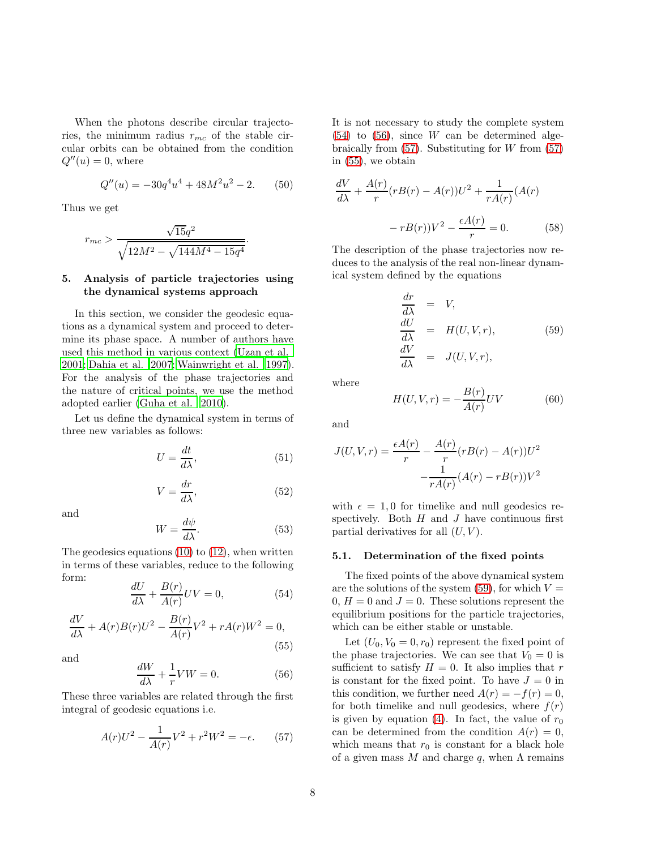When the photons describe circular trajectories, the minimum radius  $r_{mc}$  of the stable circular orbits can be obtained from the condition  $Q''(u) = 0$ , where

$$
Q''(u) = -30q^4u^4 + 48M^2u^2 - 2.\t(50)
$$

Thus we get

$$
r_{mc} > \frac{\sqrt{15}q^2}{\sqrt{12M^2 - \sqrt{144M^4 - 15q^4}}}.
$$

# 5. Analysis of particle trajectories using the dynamical systems approach

In this section, we consider the geodesic equations as a dynamical system and proceed to determine its phase space. A number of authors have used this method in various context [\(Uzan et al.](#page-10-4) [2001;](#page-10-4) [Dahia et al. 2007;](#page-10-5) [Wainwright et al. 1997\)](#page-10-8). For the analysis of the phase trajectories and the nature of critical points, we use the method adopted earlier [\(Guha et al. 2010](#page-10-9)).

Let us define the dynamical system in terms of three new variables as follows:

$$
U = \frac{dt}{d\lambda},\tag{51}
$$

$$
V = \frac{dr}{d\lambda},\tag{52}
$$

and

$$
W = \frac{d\psi}{d\lambda}.\tag{53}
$$

The geodesics equations [\(10\)](#page-2-1) to [\(12\)](#page-2-2), when written in terms of these variables, reduce to the following form:

<span id="page-7-0"></span>
$$
\frac{dU}{d\lambda} + \frac{B(r)}{A(r)}UV = 0,\t(54)
$$

<span id="page-7-3"></span>
$$
\frac{dV}{d\lambda} + A(r)B(r)U^2 - \frac{B(r)}{A(r)}V^2 + rA(r)W^2 = 0,
$$
\n(55)

and

<span id="page-7-1"></span>
$$
\frac{dW}{d\lambda} + \frac{1}{r}VW = 0.
$$
 (56)

These three variables are related through the first integral of geodesic equations i.e.

<span id="page-7-2"></span>
$$
A(r)U^2 - \frac{1}{A(r)}V^2 + r^2W^2 = -\epsilon.
$$
 (57)

It is not necessary to study the complete system  $(54)$  to  $(56)$ , since W can be determined algebraically from  $(57)$ . Substituting for W from  $(57)$ in [\(55\)](#page-7-3), we obtain

$$
\frac{dV}{d\lambda} + \frac{A(r)}{r}(rB(r) - A(r))U^2 + \frac{1}{rA(r)}(A(r))
$$

$$
-rB(r))V^2 - \frac{\epsilon A(r)}{r} = 0.
$$
(58)

The description of the phase trajectories now reduces to the analysis of the real non-linear dynamical system defined by the equations

<span id="page-7-4"></span>
$$
\begin{array}{rcl}\n\frac{dr}{d\lambda} & = & V, \\
\frac{dU}{d\lambda} & = & H(U, V, r), \\
\frac{dV}{d\lambda} & = & J(U, V, r),\n\end{array} \tag{59}
$$

where

$$
H(U, V, r) = -\frac{B(r)}{A(r)}UV\tag{60}
$$

and

$$
J(U, V, r) = \frac{\epsilon A(r)}{r} - \frac{A(r)}{r} (rB(r) - A(r))U^2
$$

$$
-\frac{1}{rA(r)} (A(r) - rB(r))V^2
$$

with  $\epsilon = 1, 0$  for timelike and null geodesics respectively. Both  $H$  and  $J$  have continuous first partial derivatives for all  $(U, V)$ .

#### 5.1. Determination of the fixed points

The fixed points of the above dynamical system are the solutions of the system  $(59)$ , for which  $V =$  $0, H = 0$  and  $J = 0$ . These solutions represent the equilibrium positions for the particle trajectories, which can be either stable or unstable.

Let  $(U_0, V_0 = 0, r_0)$  represent the fixed point of the phase trajectories. We can see that  $V_0 = 0$  is sufficient to satisfy  $H = 0$ . It also implies that r is constant for the fixed point. To have  $J = 0$  in this condition, we further need  $A(r) = -f(r) = 0$ , for both timelike and null geodesics, where  $f(r)$ is given by equation [\(4\)](#page-1-0). In fact, the value of  $r_0$ can be determined from the condition  $A(r) = 0$ , which means that  $r_0$  is constant for a black hole of a given mass M and charge q, when  $\Lambda$  remains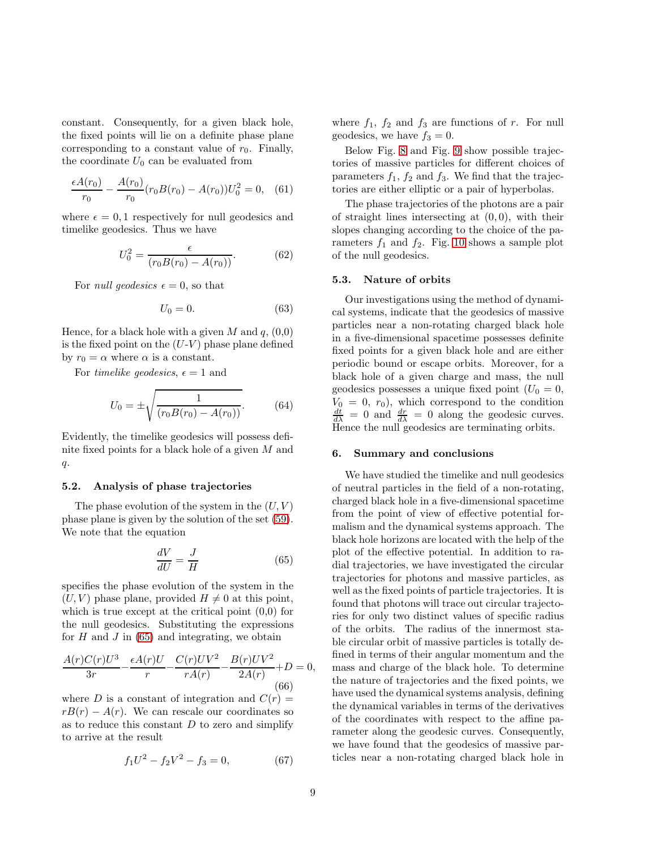constant. Consequently, for a given black hole, the fixed points will lie on a definite phase plane corresponding to a constant value of  $r_0$ . Finally, the coordinate  $U_0$  can be evaluated from

$$
\frac{\epsilon A(r_0)}{r_0} - \frac{A(r_0)}{r_0} (r_0 B(r_0) - A(r_0)) U_0^2 = 0, \quad (61)
$$

where  $\epsilon = 0, 1$  respectively for null geodesics and timelike geodesics. Thus we have

$$
U_0^2 = \frac{\epsilon}{(r_0 B(r_0) - A(r_0))}.
$$
 (62)

For *null geodesics*  $\epsilon = 0$ , so that

$$
U_0 = 0.\t\t(63)
$$

Hence, for a black hole with a given M and  $q$ ,  $(0,0)$ is the fixed point on the  $(U-V)$  phase plane defined by  $r_0 = \alpha$  where  $\alpha$  is a constant.

For *timelike geodesics*,  $\epsilon = 1$  and

$$
U_0 = \pm \sqrt{\frac{1}{(r_0 B(r_0) - A(r_0))}}.\tag{64}
$$

Evidently, the timelike geodesics will possess definite fixed points for a black hole of a given M and  $q$ .

## 5.2. Analysis of phase trajectories

The phase evolution of the system in the  $(U, V)$ phase plane is given by the solution of the set [\(59\)](#page-7-4). We note that the equation

<span id="page-8-0"></span>
$$
\frac{dV}{dU} = \frac{J}{H} \tag{65}
$$

specifies the phase evolution of the system in the  $(U, V)$  phase plane, provided  $H \neq 0$  at this point, which is true except at the critical point  $(0,0)$  for the null geodesics. Substituting the expressions for  $H$  and  $J$  in [\(65\)](#page-8-0) and integrating, we obtain

$$
\frac{A(r)C(r)U^3}{3r} - \frac{\epsilon A(r)U}{r} - \frac{C(r)UV^2}{rA(r)} - \frac{B(r)UV^2}{2A(r)} + D = 0,
$$
\n(66)

where D is a constant of integration and  $C(r)$  =  $rB(r) - A(r)$ . We can rescale our coordinates so as to reduce this constant  $D$  to zero and simplify to arrive at the result

$$
f_1 U^2 - f_2 V^2 - f_3 = 0,\t\t(67)
$$

where  $f_1$ ,  $f_2$  and  $f_3$  are functions of r. For null geodesics, we have  $f_3 = 0$ .

Below Fig. [8](#page-14-0) and Fig. [9](#page-14-1) show possible trajectories of massive particles for different choices of parameters  $f_1$ ,  $f_2$  and  $f_3$ . We find that the trajectories are either elliptic or a pair of hyperbolas.

The phase trajectories of the photons are a pair of straight lines intersecting at  $(0, 0)$ , with their slopes changing according to the choice of the parameters  $f_1$  and  $f_2$ . Fig. [10](#page-14-2) shows a sample plot of the null geodesics.

#### 5.3. Nature of orbits

Our investigations using the method of dynamical systems, indicate that the geodesics of massive particles near a non-rotating charged black hole in a five-dimensional spacetime possesses definite fixed points for a given black hole and are either periodic bound or escape orbits. Moreover, for a black hole of a given charge and mass, the null geodesics possesses a unique fixed point  $(U_0 = 0,$  $V_0 = 0, r_0$ , which correspond to the condition  $\frac{dt}{d\lambda} = 0$  and  $\frac{dr}{d\lambda} = 0$  along the geodesic curves. Hence the null geodesics are terminating orbits.

# 6. Summary and conclusions

We have studied the timelike and null geodesics of neutral particles in the field of a non-rotating, charged black hole in a five-dimensional spacetime from the point of view of effective potential formalism and the dynamical systems approach. The black hole horizons are located with the help of the plot of the effective potential. In addition to radial trajectories, we have investigated the circular trajectories for photons and massive particles, as well as the fixed points of particle trajectories. It is found that photons will trace out circular trajectories for only two distinct values of specific radius of the orbits. The radius of the innermost stable circular orbit of massive particles is totally defined in terms of their angular momentum and the mass and charge of the black hole. To determine the nature of trajectories and the fixed points, we have used the dynamical systems analysis, defining the dynamical variables in terms of the derivatives of the coordinates with respect to the affine parameter along the geodesic curves. Consequently, we have found that the geodesics of massive particles near a non-rotating charged black hole in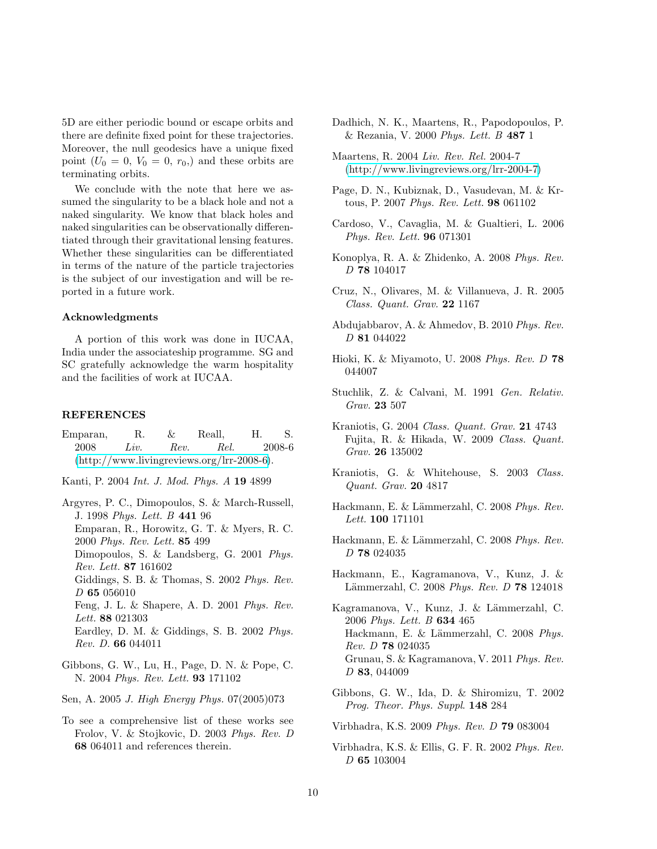5D are either periodic bound or escape orbits and there are definite fixed point for these trajectories. Moreover, the null geodesics have a unique fixed point  $(U_0 = 0, V_0 = 0, r_0)$  and these orbits are terminating orbits.

We conclude with the note that here we assumed the singularity to be a black hole and not a naked singularity. We know that black holes and naked singularities can be observationally differentiated through their gravitational lensing features. Whether these singularities can be differentiated in terms of the nature of the particle trajectories is the subject of our investigation and will be reported in a future work.

## Acknowledgments

A portion of this work was done in IUCAA, India under the associateship programme. SG and SC gratefully acknowledge the warm hospitality and the facilities of work at IUCAA.

#### REFERENCES

- <span id="page-9-0"></span>Emparan, R. & Reall, H. S. 2008 *Liv. Rev. Rel.* 2008-6 [\(http://www.livingreviews.org/lrr-2008-6\)](http://www.livingreviews.org/lrr-2008-6).
- <span id="page-9-1"></span>Kanti, P. 2004 *Int. J. Mod. Phys. A* 19 4899
- <span id="page-9-2"></span>Argyres, P. C., Dimopoulos, S. & March-Russell, J. 1998 *Phys. Lett. B* 441 96 Emparan, R., Horowitz, G. T. & Myers, R. C. 2000 *Phys. Rev. Lett.* 85 499 Dimopoulos, S. & Landsberg, G. 2001 *Phys. Rev. Lett.* 87 161602 Giddings, S. B. & Thomas, S. 2002 *Phys. Rev. D* 65 056010 Feng, J. L. & Shapere, A. D. 2001 *Phys. Rev. Lett.* 88 021303 Eardley, D. M. & Giddings, S. B. 2002 *Phys. Rev. D.* 66 044011
- <span id="page-9-3"></span>Gibbons, G. W., Lu, H., Page, D. N. & Pope, C. N. 2004 *Phys. Rev. Lett.* 93 171102
- <span id="page-9-4"></span>Sen, A. 2005 *J. High Energy Phys.* 07(2005)073
- <span id="page-9-5"></span>To see a comprehensive list of these works see Frolov, V. & Stojkovic, D. 2003 *Phys. Rev. D* 68 064011 and references therein.
- <span id="page-9-6"></span>Dadhich, N. K., Maartens, R., Papodopoulos, P. & Rezania, V. 2000 *Phys. Lett. B* 487 1
- <span id="page-9-7"></span>Maartens, R. 2004 *Liv. Rev. Rel.* 2004-7 [\(http://www.livingreviews.org/lrr-2004-7\)](http://www.livingreviews.org/lrr-2004-7)
- <span id="page-9-8"></span>Page, D. N., Kubiznak, D., Vasudevan, M. & Krtous, P. 2007 *Phys. Rev. Lett.* 98 061102
- <span id="page-9-9"></span>Cardoso, V., Cavaglia, M. & Gualtieri, L. 2006 *Phys. Rev. Lett.* 96 071301
- <span id="page-9-10"></span>Konoplya, R. A. & Zhidenko, A. 2008 *Phys. Rev. D* 78 104017
- <span id="page-9-11"></span>Cruz, N., Olivares, M. & Villanueva, J. R. 2005 *Class. Quant. Grav.* 22 1167
- <span id="page-9-12"></span>Abdujabbarov, A. & Ahmedov, B. 2010 *Phys. Rev. D* 81 044022
- <span id="page-9-13"></span>Hioki, K. & Miyamoto, U. 2008 *Phys. Rev. D* 78 044007
- <span id="page-9-14"></span>Stuchlik, Z. & Calvani, M. 1991 *Gen. Relativ. Grav.* 23 507
- <span id="page-9-15"></span>Kraniotis, G. 2004 *Class. Quant. Grav.* 21 4743 Fujita, R. & Hikada, W. 2009 *Class. Quant. Grav.* 26 135002
- <span id="page-9-16"></span>Kraniotis, G. & Whitehouse, S. 2003 *Class. Quant. Grav.* 20 4817
- <span id="page-9-17"></span>Hackmann, E. & Lämmerzahl, C. 2008 Phys. Rev. *Lett.* 100 171101
- <span id="page-9-18"></span>Hackmann, E. & Lämmerzahl, C. 2008 *Phys. Rev. D* 78 024035
- <span id="page-9-19"></span>Hackmann, E., Kagramanova, V., Kunz, J. & Lämmerzahl, C. 2008 *Phys. Rev. D* 78 124018
- <span id="page-9-20"></span>Kagramanova, V., Kunz, J. & Lämmerzahl, C. 2006 *Phys. Lett. B* 634 465 Hackmann, E. & Lämmerzahl, C. 2008 *Phys. Rev. D* 78 024035 Grunau, S. & Kagramanova, V. 2011 *Phys. Rev. D* 83, 044009
- <span id="page-9-21"></span>Gibbons, G. W., Ida, D. & Shiromizu, T. 2002 *Prog. Theor. Phys. Suppl*. 148 284
- <span id="page-9-22"></span>Virbhadra, K.S. 2009 *Phys. Rev. D* 79 083004
- <span id="page-9-23"></span>Virbhadra, K.S. & Ellis, G. F. R. 2002 *Phys. Rev. D* 65 103004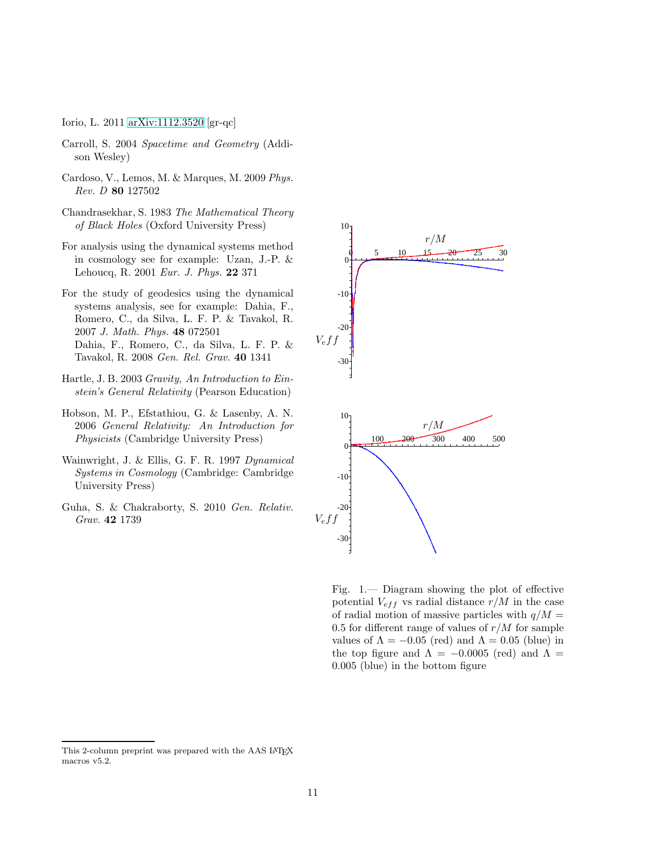<span id="page-10-0"></span>Iorio, L. 2011 [arXiv:1112.3520](http://arxiv.org/abs/1112.3520) [gr-qc]

- <span id="page-10-1"></span>Carroll, S. 2004 *Spacetime and Geometry* (Addison Wesley)
- Cardoso, V., Lemos, M. & Marques, M. 2009 *Phys. Rev. D* 80 127502
- <span id="page-10-3"></span>Chandrasekhar, S. 1983 *The Mathematical Theory of Black Holes* (Oxford University Press)
- <span id="page-10-4"></span>For analysis using the dynamical systems method in cosmology see for example: Uzan, J.-P. & Lehoucq, R. 2001 *Eur. J. Phys.* 22 371
- <span id="page-10-5"></span>For the study of geodesics using the dynamical systems analysis, see for example: Dahia, F., Romero, C., da Silva, L. F. P. & Tavakol, R. 2007 *J. Math. Phys.* 48 072501 Dahia, F., Romero, C., da Silva, L. F. P. & Tavakol, R. 2008 *Gen. Rel. Grav.* 40 1341 PSfrag replacements -30
- <span id="page-10-6"></span>Hartle, J. B. 2003 *Gravity, An Introduction to Einstein's General Relativity* (Pearson Education)
- <span id="page-10-7"></span>Hobson, M. P., Efstathiou, G. & Lasenby, A. N. 2006 *General Relativity: An Introduction for Physicists* (Cambridge University Press)
- <span id="page-10-8"></span>Wainwright, J. & Ellis, G. F. R. 1997 *Dynamical Systems in Cosmology* (Cambridge: Cambridge University Press)
- <span id="page-10-9"></span>Guha, S. & Chakraborty, S. 2010 *Gen. Relativ. Grav.* 42 1739



10

<span id="page-10-2"></span>Fig. 1.— Diagram showing the plot of effective potential  $V_{eff}$  vs radial distance  $r/M$  in the case of radial motion of massive particles with  $q/M =$ 0.5 for different range of values of  $r/M$  for sample values of  $\Lambda = -0.05$  (red) and  $\Lambda = 0.05$  (blue) in the top figure and  $\Lambda = -0.0005$  (red) and  $\Lambda =$ 0.005 (blue) in the bottom figure

This 2-column preprint was prepared with the AAS LATEX macros v5.2.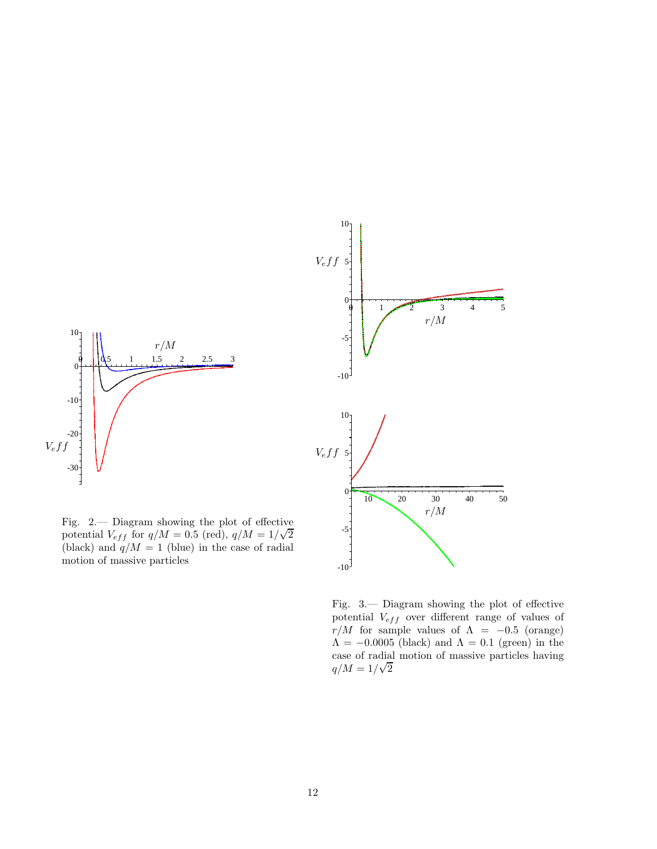

<span id="page-11-1"></span><span id="page-11-0"></span>Fig. 3.— Diagram showing the plot of effective potential  $V_{eff}$  over different range of values of  $r/M$  for sample values of  $\Lambda = -0.5$  (orange)  $\Lambda = -0.0005$  (black) and  $\Lambda = 0.1$  (green) in the case of radial motion of massive particles having  $q/M = 1/\sqrt{2}$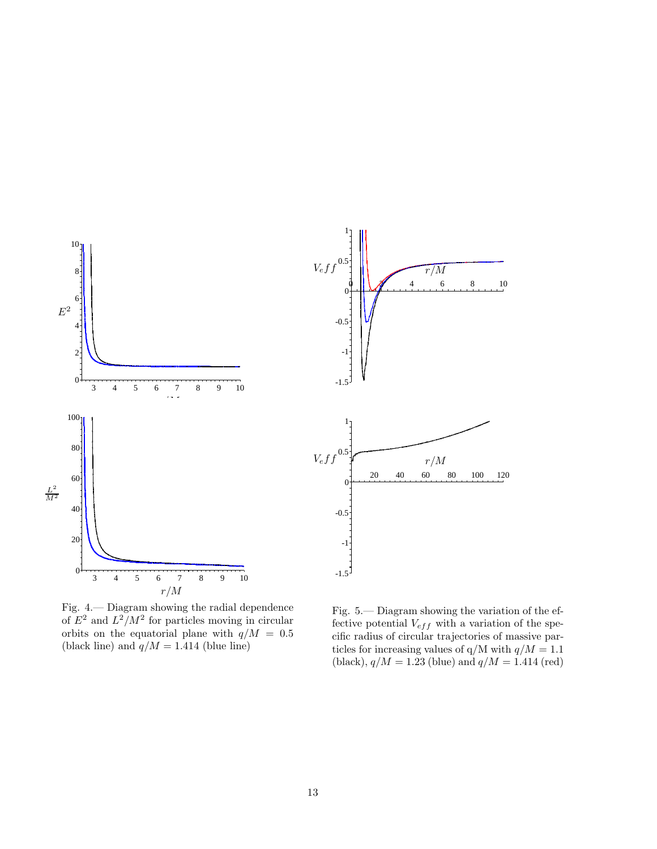

<span id="page-12-0"></span>Fig. 4.— Diagram showing the radial dependence of  $E^2$  and  $L^2/M^2$  for particles moving in circular orbits on the equatorial plane with  $q/M = 0.5$ (black line) and  $q/M = 1.414$  (blue line)

<span id="page-12-1"></span>Fig. 5.— Diagram showing the variation of the effective potential  $V_{eff}$  with a variation of the specific radius of circular trajectories of massive particles for increasing values of  $q/M$  with  $q/M = 1.1$ (black),  $q/M = 1.23$  (blue) and  $q/M = 1.414$  (red)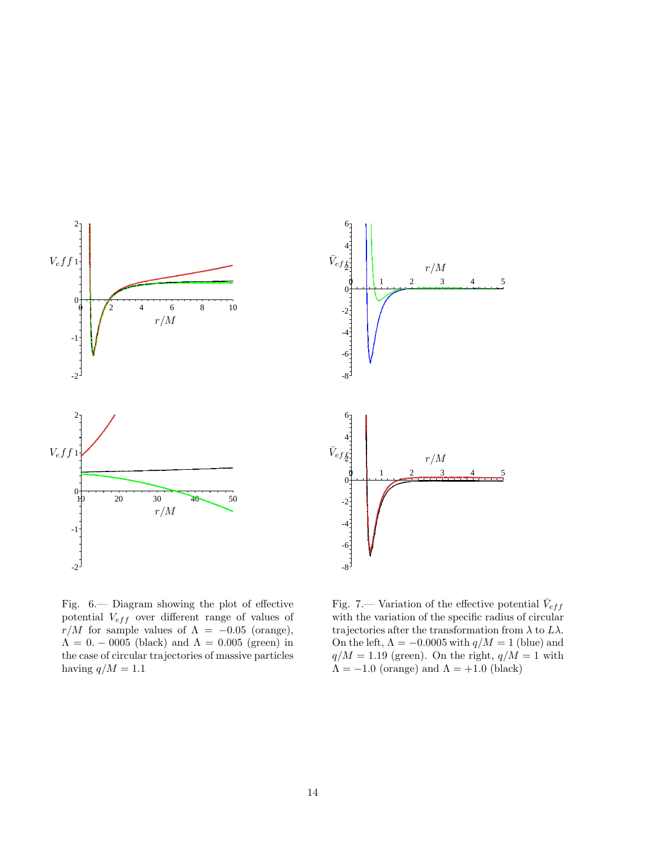

<span id="page-13-0"></span>Fig. 6.— Diagram showing the plot of effective potential  $V_{eff}$  over different range of values of  $r/M$  for sample values of  $\Lambda = -0.05$  (orange),  $\Lambda = 0. -0005$  (black) and  $\Lambda = 0.005$  (green) in the case of circular trajectories of massive particles having  $q/M = 1.1$ 

<span id="page-13-1"></span>Fig. 7.— Variation of the effective potential  $\bar{V}_{eff}$ with the variation of the specific radius of circular trajectories after the transformation from  $\lambda$  to  $L\lambda$ . On the left,  $\Lambda = -0.0005$  with  $q/M = 1$  (blue) and  $q/M = 1.19$  (green). On the right,  $q/M = 1$  with  $\Lambda = -1.0$  (orange) and  $\Lambda = +1.0$  (black)